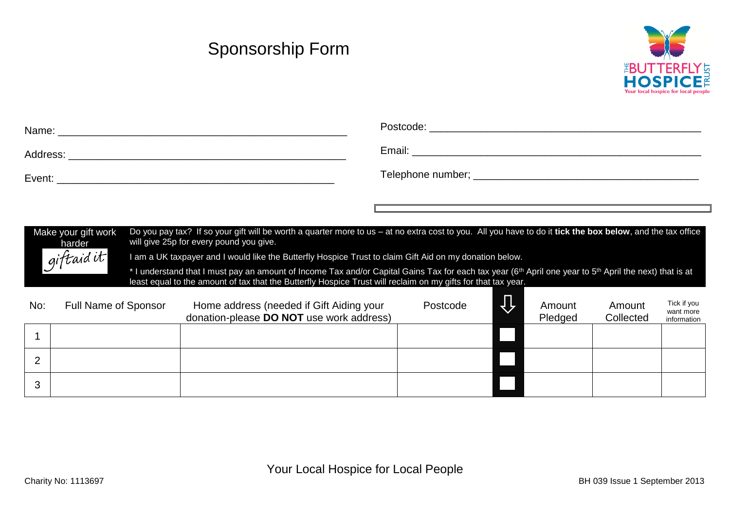## Sponsorship Form



| Name:    | Postcode:         |
|----------|-------------------|
| Address: | Email:            |
| Event:   | Telephone number; |

Make your gift work harder<br>giftaid it Do you pay tax? If so your gift will be worth a quarter more to us – at no extra cost to you. All you have to do it **tick the box below**, and the tax office will give 25p for every pound you give.

I am a UK taxpayer and I would like the Butterfly Hospice Trust to claim Gift Aid on my donation below.

\* I understand that I must pay an amount of Income Tax and/or Capital Gains Tax for each tax year (6<sup>th</sup> April one year to 5<sup>th</sup> April the next) that is at least equal to the amount of tax that the Butterfly Hospice Trust will reclaim on my gifts for that tax year.

| No: | Full Name of Sponsor | Home address (needed if Gift Aiding your<br>donation-please DO NOT use work address) | Postcode | Amount<br>Pledged | Amount<br>Collected | Tick if you<br>want more<br>information |
|-----|----------------------|--------------------------------------------------------------------------------------|----------|-------------------|---------------------|-----------------------------------------|
|     |                      |                                                                                      |          |                   |                     |                                         |
| ◠   |                      |                                                                                      |          |                   |                     |                                         |
| ◠   |                      |                                                                                      |          |                   |                     |                                         |